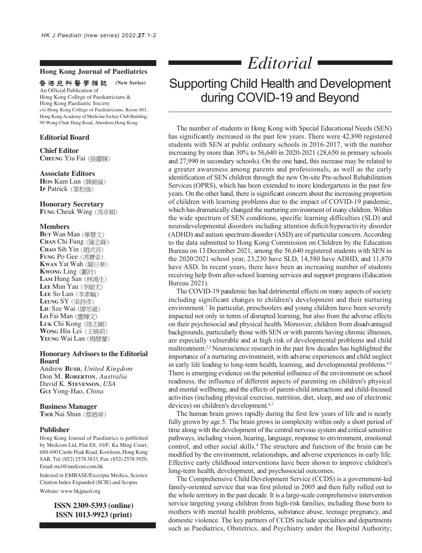## **Hong Kong Journal of Paediatrics**

香港兒科醫學雜誌  **(New Series)**

An Official Publication of Hong Kong College of Paediatricians & Hong Kong Paediatric Society c/o Hong Kong College of Paediatricians, Room 801, Hong Kong Academy of Medicine Jockey Club Building, 99 Wong Chuk Hang Road, Aberdeen,Hong Kong.

### **Editorial Board**

**Chief Editor CHEUNG** Yiu Fai

### **Associate Editors**

**HON** Kam Lun IP Patrick (葉柏強)

#### **Honorary Secretary**

**FUNG Cheuk Wing (馮卓穎)** 

#### **Members**

**BUT** Wan Man **CHAN** Chi Fung **CHAO** Sih Yin **FUNG** Po Gee **KWAN** Yat Wah **KWONG** Ling (鄺玲) LAM Hung San (林鴻生) LEE Mun Yau (李敏尤) LEE So Lun (李素輪) LEUNG SY (梁詩彥) LIU Sze Wai (廖思維) **LO** Fai Man **LUK** Chi Kong **WONG** Hiu Lei YEUNG Wai Lan (楊慧蘭)

## **Honorary Advisors to the Editorial Board**

Andrew **BUSH**, *United Kingdom* Don M. **ROBERTON**, *Australia* David K. **STEVENSON**, *USA* **GUI** Yong-Hao, *China*

### **Business Manager**

**Tsoi Nai Shun** (蔡廼舜)

### **Publisher**

Hong Kong Journal of Paediatrics is published by Medcom Ltd, Flat E8, 10/F, Ka Ming Court, 688-690 Castle Peak Road, Kowloon, Hong Kong SAR. Tel: (852) 2578 3833, Fax: (852) 2578 3929, Email: mcl@medcom.com.hk

Indexed in EMBASE/Excerpta Medica, Science Citation Index Expanded (SCIE) and Scopus

Website: www.hkjpaed.org

**ISSN 2309-5393 (online) ISSN 1013-9923 (print)**

# *Editorial* Supporting Child Health and Development

during COVID-19 and Beyond

The number of students in Hong Kong with Special Educational Needs (SEN) has significantly increased in the past few years. There were 42,890 registered students with SEN at public ordinary schools in 2016-2017, with the number increasing by more than 30% to 56,640 in 2020-2021 (28,650 in primary schools and 27,990 in secondary schools). On the one hand, this increase may be related to a greater awareness among parents and professionals, as well as the early identification of SEN children through the new On-site Pre-school Rehabilitation Services (OPRS), which has been extended to more kindergartens in the past few years. On the other hand, there is significant concern about the increasing proportion of children with learning problems due to the impact of COVID-19 pandemic, which has dramatically changed the nurturing environment of many children. Within the wide spectrum of SEN conditions, specific learning difficulties (SLD) and neurodevelopmental disorders including attention deficit/hyperactivity disorder (ADHD) and autism spectrum disorder (ASD) are of particular concern. According to the data submitted to Hong Kong Commission on Children by the Education Bureau on 13 December 2021, among the 56,640 registered students with SEN in the 2020/2021 school year, 23,230 have SLD, 14,580 have ADHD, and 11,870 have ASD. In recent years, there have been an increasing number of students receiving help from after-school learning services and support programs (Education Bureau 2021).

The COVID-19 pandemic has had detrimental effects on many aspects of society including significant changes to children's development and their nurturing environment.<sup>1</sup> In particular, preschoolers and young children have been severely impacted not only in terms of disrupted learning, but also from the adverse effects on their psychosocial and physical health. Moreover, children from disadvantaged backgrounds, particularly those with SEN or with parents having chronic illnesses, are especially vulnerable and at high risk of developmental problems and child maltreatment.<sup>2,3</sup> Neuroscience research in the past few decades has highlighted the importance of a nurturing environment, with adverse experiences and child neglect in early life leading to long-term health, learning, and developmental problems.<sup>4,5</sup> There is emerging evidence on the potential influence of the environment on school readiness, the influence of different aspects of parenting on children's physical and mental wellbeing, and the effects of parent-child interactions and child-focused activities (including physical exercise, nutrition, diet, sleep, and use of electronic devices) on children's development.<sup>6,7</sup>

The human brain grows rapidly during the first few years of life and is nearly fully grown by age 5. The brain grows in complexity within only a short period of time along with the development of the central nervous system and critical sensitive pathways, including vision, hearing, language, response to environment, emotional control, and other social skills.4 The structure and function of the brain can be modified by the environment, relationships, and adverse experiences in early life. Effective early childhood interventions have been shown to improve children's long-term health, development, and psychosocial outcomes.

The Comprehensive Child Development Service (CCDS) is a government-led family-oriented service that was first piloted in 2005 and then fully rolled out to the whole territory in the past decade. It is a large-scale comprehensive intervention service targeting young children from high-risk families, including those born to mothers with mental health problems, substance abuse, teenage pregnancy, and domestic violence. The key partners of CCDS include specialties and departments such as Paediatrics, Obstetrics, and Psychiatry under the Hospital Authority;